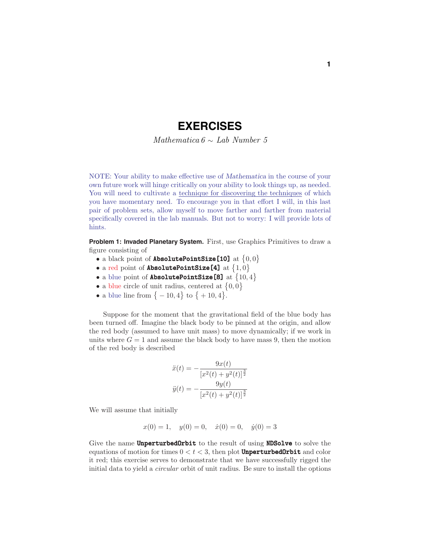## **EXERCISES**

Mathematica  $6 \sim$  Lab Number 5

NOTE: Your ability to make effective use of *Mathematica* in the course of your own future work will hinge critically on your ability to look things up, as needed. You will need to cultivate a technique for discovering the techniques of which you have momentary need. To encourage you in that effort I will, in this last pair of problem sets, allow myself to move farther and farther from material specifically covered in the lab manuals. But not to worry: I will provide lots of hints.

**Problem 1: Invaded Planetary System.** First, use Graphics Primitives to draw a figure consisting of

- a black point of **AbsolutePointSize[10]** at  $\{0,0\}$
- a red point of **AbsolutePointSize** [4] at  $\{1,0\}$
- a blue point of **AbsolutePointSize [8]** at  $\{10, 4\}$
- a blue circle of unit radius, centered at  $\{0,0\}$
- a blue line from  $\{-10, 4\}$  to  $\{+10, 4\}$ .

Suppose for the moment that the gravitational field of the blue body has been turned off. Imagine the black body to be pinned at the origin, and allow the red body (assumed to have unit mass) to move dynamically; if we work in units where  $G = 1$  and assume the black body to have mass 9, then the motion of the red body is described

$$
\ddot{x}(t) = -\frac{9x(t)}{[x^2(t) + y^2(t)]^{\frac{3}{2}}}
$$

$$
\ddot{y}(t) = -\frac{9y(t)}{[x^2(t) + y^2(t)]^{\frac{3}{2}}}
$$

We will assume that initially

$$
x(0) = 1
$$
,  $y(0) = 0$ ,  $\dot{x}(0) = 0$ ,  $\dot{y}(0) = 3$ 

Give the name UnperturbedOrbit to the result of using NDSolve to solve the equations of motion for times  $0 < t < 3$ , then plot **UnperturbedOrbit** and color it red; this exercise serves to demonstrate that we have successfully rigged the initial data to yield a circular orbit of unit radius. Be sure to install the options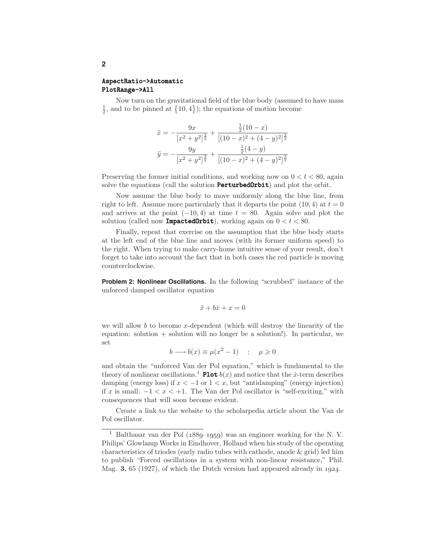## AspectRatio->Automatic PlotRange->All

Now turn on the gravitational field of the blue body (assumed to have mass  $\frac{1}{2}$ , and to be pinned at  $\{10, 4\}$ ; the equations of motion become

$$
\ddot{x} = -\frac{9x}{[x^2 + y^2]^{\frac{3}{2}}} + \frac{\frac{1}{2}(10 - x)}{[(10 - x)^2 + (4 - y)^2]^{\frac{3}{2}}}
$$

$$
\ddot{y} = -\frac{9y}{[x^2 + y^2]^{\frac{3}{2}}} + \frac{\frac{1}{2}(4 - y)}{[(10 - x)^2 + (4 - y)^2]^{\frac{3}{2}}}
$$

Preserving the former initial conditions, and working now on  $0 < t < 80$ , again solve the equations (call the solution **PerturbedOrbit**) and plot the orbit.

Now assume the blue body to move uniformly along the blue line, from right to left. Assume more particularly that it departs the point  $(10, 4)$  at  $t = 0$ and arrives at the point  $(-10, 4)$  at time  $t = 80$ . Again solve and plot the solution (called now **ImpactedOrbit**), working again on  $0 < t < 80$ .

Finally, repeat that exercise on the assumption that the blue body starts at the left end of the blue line and moves (with its former uniform speed) to the right. When trying to make carry-home intuitive sense of your result, don't forget to take into account the fact that in both cases the red particle is moving counterclockwise.

**Problem 2: Nonlinear Oscillations.** In the following "scrubbed" instance of the unforced damped oscillator equation

$$
\ddot{x} + b\dot{x} + x = 0
$$

we will allow *b* to become *x*-dependent (which will destroy the linearity of the equation: solution + solution will no longer be a solution!). In particular, we set

$$
b \longrightarrow b(x) \equiv \mu(x^2 - 1) \quad : \quad \mu \geq 0
$$

and obtain the "unforced Van der Pol equation," which is fundamental to the theory of nonlinear oscillations.<sup>1</sup> **Plot**  $b(x)$  and notice that the *x*-term describes damping (energy loss) if  $x < -1$  or  $1 < x$ , but "antidamping" (energy injection) if *x* is small:  $-1 < x < +1$ . The Van der Pol oscillator is "self-exciting," with consequences that will soon become evident.

Create a link to the website to the scholarpedia article about the Van de Pol oscillator.

**2**

<sup>1</sup> Balthasar van der Pol (*1889*–*1959*) was an engineer working for the N. V. Philips' Glowlamp Works in Eindhover, Holland when his study of the operating characteristics of triodes (early radio tubes with cathode, anode & grid) led him to publish "Forced oscillations in a system with non-linear resistance," Phil. Mag. **3**, 65 (1927), of which the Dutch version had appeared already in *1924*.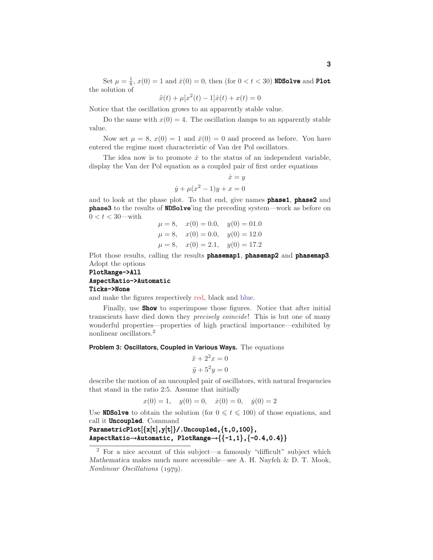Set  $\mu = \frac{1}{8}$ ,  $x(0) = 1$  and  $\dot{x}(0) = 0$ , then (for  $0 < t < 30$ ) **NDSolve** and **Plot** the solution of

$$
\ddot{x}(t) + \mu[x^2(t) - 1]\dot{x}(t) + x(t) = 0
$$

Notice that the oscillation grows to an apparently stable value.

Do the same with  $x(0) = 4$ . The oscillation damps to an apparently stable value.

Now set  $\mu = 8$ ,  $x(0) = 1$  and  $\dot{x}(0) = 0$  and proceed as before. You have entered the regime most characteristic of Van der Pol oscillators.

The idea now is to promote  $\dot{x}$  to the status of an independent variable, display the Van der Pol equation as a coupled pair of first order equations

$$
\dot{x} = y
$$
  

$$
\dot{y} + \mu(x^2 - 1)y + x = 0
$$

and to look at the phase plot. To that end, give names **phase1**, **phase2** and phase3 to the results of NDSolve'ing the preceding system—work as before on  $0 < t < 30$ —with

$$
\mu = 8
$$
,  $x(0) = 0.0$ ,  $y(0) = 01.0$   
\n $\mu = 8$ ,  $x(0) = 0.0$ ,  $y(0) = 12.0$   
\n $\mu = 8$ ,  $x(0) = 2.1$ ,  $y(0) = 17.2$ 

Plot those results, calling the results **phasemap1**, **phasemap2** and **phasemap3**. Adopt the options

## PlotRange->All AspectRatio->Automatic Ticks->None

and make the figures respectively red, black and blue.

Finally, use **Show** to superimpose those figures. Notice that after initial transcients have died down they precisely coincide! This is but one of many wonderful properties—properties of high practical importance—exhibited by nonlinear oscillators.<sup>2</sup>

**Problem 3: Oscillators, Coupled in Various Ways.** The equations

$$
\ddot{x} + 2^2 x = 0
$$
  

$$
\ddot{y} + 5^2 y = 0
$$

describe the motion of an uncoupled pair of oscillators, with natural frequencies that stand in the ratio 2:5. Assume that initially

$$
x(0) = 1
$$
,  $y(0) = 0$ ,  $\dot{x}(0) = 0$ ,  $\dot{y}(0) = 2$ 

Use **NDSolve** to obtain the solution (for  $0 \le t \le 100$ ) of those equations, and call it **Uncoupled**. Command

ParametricPlot $[{x[t], y[t]}$ .Uncoupled, ${t, 0, 100}$ , AspectRatio  $\rightarrow$ Automatic, PlotRange $\rightarrow$ {{-1,1},{-0.4,0.4}}

<sup>2</sup> For a nice account of this subject—a famously "difficult" subject which *Mathematica* makes much more accessible—see A. H. Nayfeh & D. T. Mook, Nonlinear Oscillations (*1979*).